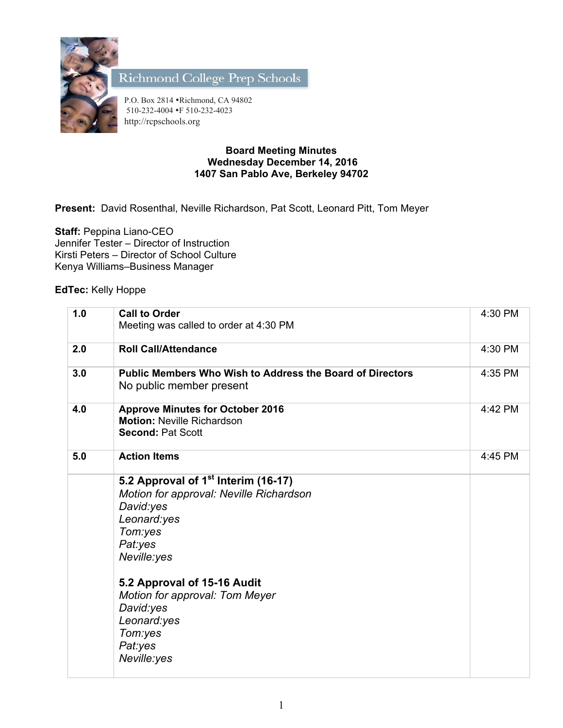

Richmond College Prep Schools

P.O. Box 2814 •Richmond, CA 94802 510-232-4004 •F 510-232-4023 http://rcpschools.org

## **Board Meeting Minutes Wednesday December 14, 2016 1407 San Pablo Ave, Berkeley 94702**

**Present:** David Rosenthal, Neville Richardson, Pat Scott, Leonard Pitt, Tom Meyer

**Staff:** Peppina Liano-CEO Jennifer Tester – Director of Instruction Kirsti Peters – Director of School Culture Kenya Williams–Business Manager

**EdTec:** Kelly Hoppe

| 1.0 | <b>Call to Order</b><br>Meeting was called to order at 4:30 PM                                                                                                                                                                                                                                | 4:30 PM |
|-----|-----------------------------------------------------------------------------------------------------------------------------------------------------------------------------------------------------------------------------------------------------------------------------------------------|---------|
| 2.0 | <b>Roll Call/Attendance</b>                                                                                                                                                                                                                                                                   | 4:30 PM |
| 3.0 | <b>Public Members Who Wish to Address the Board of Directors</b><br>No public member present                                                                                                                                                                                                  | 4:35 PM |
| 4.0 | <b>Approve Minutes for October 2016</b><br><b>Motion: Neville Richardson</b><br><b>Second: Pat Scott</b>                                                                                                                                                                                      | 4:42 PM |
| 5.0 | <b>Action Items</b>                                                                                                                                                                                                                                                                           | 4:45 PM |
|     | 5.2 Approval of 1 <sup>st</sup> Interim (16-17)<br>Motion for approval: Neville Richardson<br>David:yes<br>Leonard:yes<br>Tom:yes<br>Pat:yes<br>Neville:yes<br>5.2 Approval of 15-16 Audit<br>Motion for approval: Tom Meyer<br>David:yes<br>Leonard:yes<br>Tom:yes<br>Pat:yes<br>Neville:yes |         |